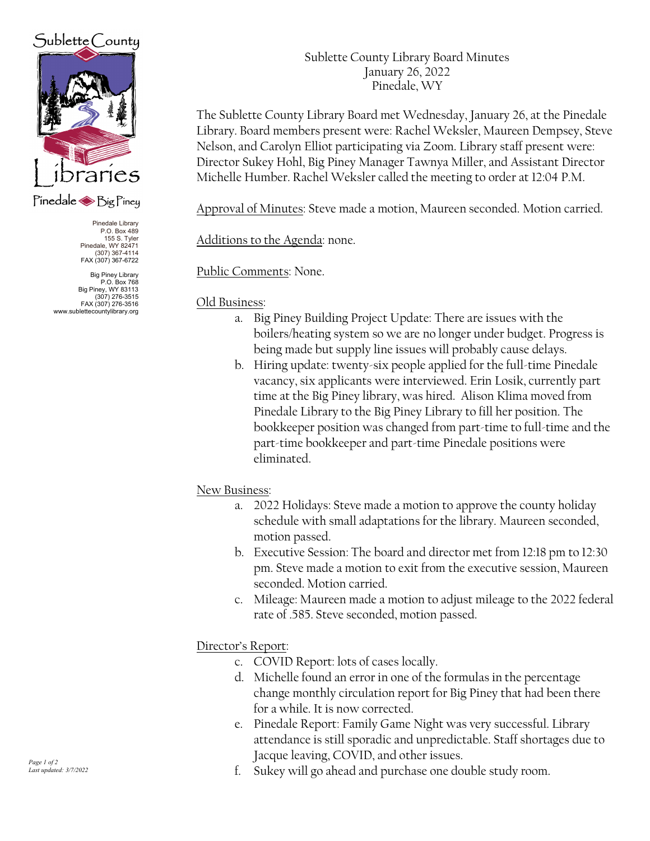# $Sublette$  County



### Pinedale Sig Piney

Pinedale Library P.O. Box 489 155 S. Tyler Pinedale, WY 82471 (307) 367-4114 FAX (307) 367-6722

Big Piney Library P.O. Box 768 Big Piney, WY 83113 (307) 276-3515 FAX (307) 276-3516 www.sublettecountylibrary.org Sublette County Library Board Minutes January 26, 2022 Pinedale, WY

The Sublette County Library Board met Wednesday, January 26, at the Pinedale Library. Board members present were: Rachel Weksler, Maureen Dempsey, Steve Nelson, and Carolyn Elliot participating via Zoom. Library staff present were: Director Sukey Hohl, Big Piney Manager Tawnya Miller, and Assistant Director Michelle Humber. Rachel Weksler called the meeting to order at 12:04 P.M.

Approval of Minutes: Steve made a motion, Maureen seconded. Motion carried.

Additions to the Agenda: none.

Public Comments: None.

#### Old Business:

- a. Big Piney Building Project Update: There are issues with the boilers/heating system so we are no longer under budget. Progress is being made but supply line issues will probably cause delays.
- b. Hiring update: twenty-six people applied for the full-time Pinedale vacancy, six applicants were interviewed. Erin Losik, currently part time at the Big Piney library, was hired. Alison Klima moved from Pinedale Library to the Big Piney Library to fill her position. The bookkeeper position was changed from part-time to full-time and the part-time bookkeeper and part-time Pinedale positions were eliminated.

#### New Business:

- a. 2022 Holidays: Steve made a motion to approve the county holiday schedule with small adaptations for the library. Maureen seconded, motion passed.
- b. Executive Session: The board and director met from 12:18 pm to 12:30 pm. Steve made a motion to exit from the executive session, Maureen seconded. Motion carried.
- c. Mileage: Maureen made a motion to adjust mileage to the 2022 federal rate of .585. Steve seconded, motion passed.

### Director's Report:

- c. COVID Report: lots of cases locally.
- d. Michelle found an error in one of the formulas in the percentage change monthly circulation report for Big Piney that had been there for a while. It is now corrected.
- e. Pinedale Report: Family Game Night was very successful. Library attendance is still sporadic and unpredictable. Staff shortages due to Jacque leaving, COVID, and other issues.
- f. Sukey will go ahead and purchase one double study room.